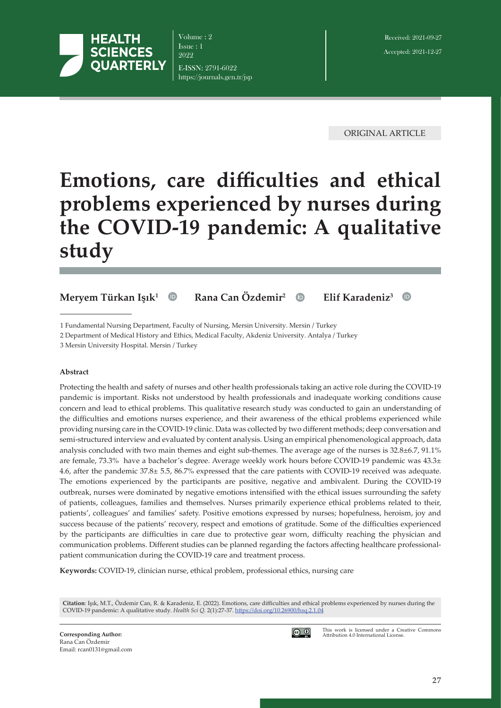

Volume : 2 Issue : 1 2022 E-ISSN: 2791-6022 https://journals.gen.tr/jsp

ORIGINAL ARTICLE

# **Emotions, care difficulties and ethical problems experienced by nurses during the COVID-19 pandemic: A qualitative study**

# **Meryem Türkan Işık<sup>1</sup> Rana Can Özdemir2 Elif Karadeniz<sup>3</sup>**

2 Department of Medical History and Ethics, Medical Faculty, Akdeniz University. Antalya / Turkey

3 Mersin University Hospital. Mersin / Turkey

#### **Abstract**

Protecting the health and safety of nurses and other health professionals taking an active role during the COVID-19 pandemic is important. Risks not understood by health professionals and inadequate working conditions cause concern and lead to ethical problems. This qualitative research study was conducted to gain an understanding of the difficulties and emotions nurses experience, and their awareness of the ethical problems experienced while providing nursing care in the COVID-19 clinic. Data was collected by two different methods; deep conversation and semi-structured interview and evaluated by content analysis. Using an empirical phenomenological approach, data analysis concluded with two main themes and eight sub-themes. The average age of the nurses is 32.8±6.7, 91.1% are female, 73.3% have a bachelor's degree. Average weekly work hours before COVID-19 pandemic was  $43.3\pm$ 4.6, after the pandemic 37.8± 5.5, 86.7% expressed that the care patients with COVID-19 received was adequate. The emotions experienced by the participants are positive, negative and ambivalent. During the COVID-19 outbreak, nurses were dominated by negative emotions intensified with the ethical issues surrounding the safety of patients, colleagues, families and themselves. Nurses primarily experience ethical problems related to their, patients', colleagues' and families' safety. Positive emotions expressed by nurses; hopefulness, heroism, joy and success because of the patients' recovery, respect and emotions of gratitude. Some of the difficulties experienced by the participants are difficulties in care due to protective gear worn, difficulty reaching the physician and communication problems. Different studies can be planned regarding the factors affecting healthcare professionalpatient communication during the COVID-19 care and treatment process.

**Keywords:** COVID-19, clinician nurse, ethical problem, professional ethics, nursing care

**Citation**: Işık, M.T., Özdemir Can, R. & Karadeniz, E. (2022). Emotions, care difficulties and ethical problems experienced by nurses during the COVID-19 pandemic: A qualitative study. *Health Sci Q.* 2(1):27-37. [https://doi.org/1](https://doi.org/)0.26900/hsq.2.1.04



This work is licensed under a Creative Commons Attribution 4.0 International License.

<sup>1</sup> Fundamental Nursing Department, Faculty of Nursing, Mersin University. Mersin / Turkey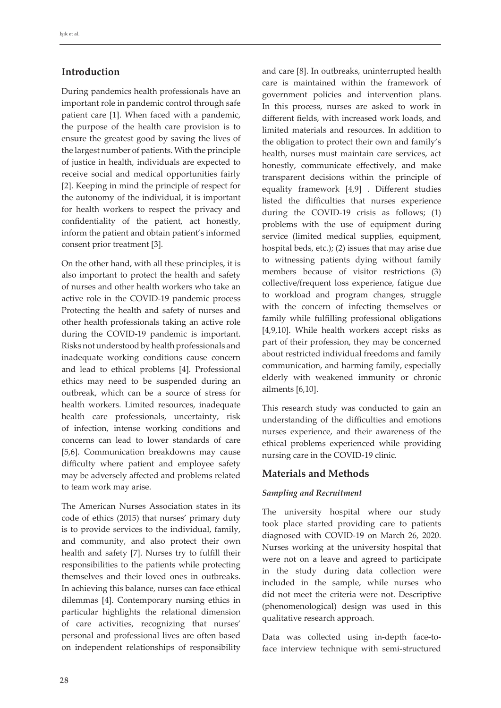# **Introduction**

During pandemics health professionals have an important role in pandemic control through safe patient care [1]. When faced with a pandemic, the purpose of the health care provision is to ensure the greatest good by saving the lives of the largest number of patients. With the principle of justice in health, individuals are expected to receive social and medical opportunities fairly [2]. Keeping in mind the principle of respect for the autonomy of the individual, it is important for health workers to respect the privacy and confidentiality of the patient, act honestly, inform the patient and obtain patient's informed consent prior treatment [3].

On the other hand, with all these principles, it is also important to protect the health and safety of nurses and other health workers who take an active role in the COVID-19 pandemic process Protecting the health and safety of nurses and other health professionals taking an active role during the COVID-19 pandemic is important. Risks not understood by health professionals and inadequate working conditions cause concern and lead to ethical problems [4]. Professional ethics may need to be suspended during an outbreak, which can be a source of stress for health workers. Limited resources, inadequate health care professionals, uncertainty, risk of infection, intense working conditions and concerns can lead to lower standards of care [5,6]. Communication breakdowns may cause difficulty where patient and employee safety may be adversely affected and problems related to team work may arise.

The American Nurses Association states in its code of ethics (2015) that nurses' primary duty is to provide services to the individual, family, and community, and also protect their own health and safety [7]. Nurses try to fulfill their responsibilities to the patients while protecting themselves and their loved ones in outbreaks. In achieving this balance, nurses can face ethical dilemmas [4]. Contemporary nursing ethics in particular highlights the relational dimension of care activities, recognizing that nurses' personal and professional lives are often based on independent relationships of responsibility

and care [8]. In outbreaks, uninterrupted health care is maintained within the framework of government policies and intervention plans. In this process, nurses are asked to work in different fields, with increased work loads, and limited materials and resources. In addition to the obligation to protect their own and family's health, nurses must maintain care services, act honestly, communicate effectively, and make transparent decisions within the principle of equality framework [4,9] . Different studies listed the difficulties that nurses experience during the COVID-19 crisis as follows; (1) problems with the use of equipment during service (limited medical supplies, equipment, hospital beds, etc.); (2) issues that may arise due to witnessing patients dying without family members because of visitor restrictions (3) collective/frequent loss experience, fatigue due to workload and program changes, struggle with the concern of infecting themselves or family while fulfilling professional obligations [4,9,10]. While health workers accept risks as part of their profession, they may be concerned about restricted individual freedoms and family communication, and harming family, especially elderly with weakened immunity or chronic ailments [6,10].

This research study was conducted to gain an understanding of the difficulties and emotions nurses experience, and their awareness of the ethical problems experienced while providing nursing care in the COVID-19 clinic.

# **Materials and Methods**

# *Sampling and Recruitment*

The university hospital where our study took place started providing care to patients diagnosed with COVID-19 on March 26, 2020. Nurses working at the university hospital that were not on a leave and agreed to participate in the study during data collection were included in the sample, while nurses who did not meet the criteria were not. Descriptive (phenomenological) design was used in this qualitative research approach.

Data was collected using in-depth face-toface interview technique with semi-structured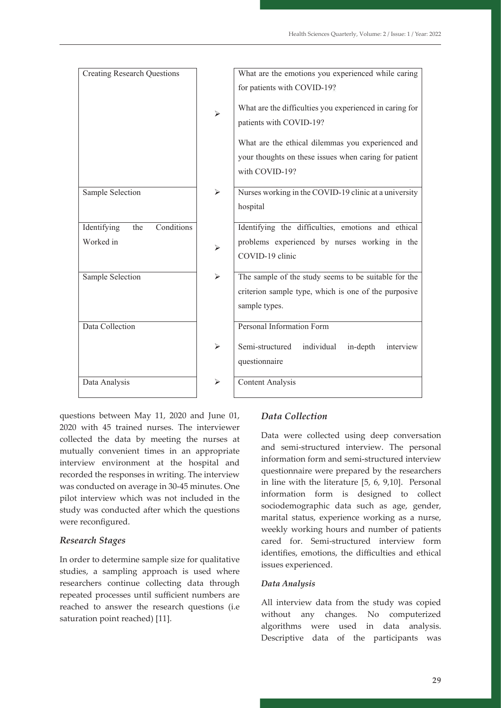| <b>Creating Research Questions</b> |   | What are the emotions you experienced while caring                                 |
|------------------------------------|---|------------------------------------------------------------------------------------|
|                                    |   | for patients with COVID-19?                                                        |
|                                    | ➤ | What are the difficulties you experienced in caring for<br>patients with COVID-19? |
|                                    |   | What are the ethical dilemmas you experienced and                                  |
|                                    |   | your thoughts on these issues when caring for patient                              |
|                                    |   | with COVID-19?                                                                     |
| Sample Selection                   | ➤ | Nurses working in the COVID-19 clinic at a university                              |
|                                    |   | hospital                                                                           |
| Conditions<br>Identifying<br>the   |   | Identifying the difficulties, emotions and ethical                                 |
| Worked in                          |   | problems experienced by nurses working in the                                      |
|                                    | ➤ | COVID-19 clinic                                                                    |
| Sample Selection                   | ➤ | The sample of the study seems to be suitable for the                               |
|                                    |   | criterion sample type, which is one of the purposive                               |
|                                    |   | sample types.                                                                      |
| Data Collection                    |   | Personal Information Form                                                          |
|                                    | ➤ | Semi-structured<br>individual<br>in-depth<br>interview                             |
|                                    |   | questionnaire                                                                      |
| Data Analysis                      | ⋗ | <b>Content Analysis</b>                                                            |

questions between May 11, 2020 and June 01, 2020 with 45 trained nurses. The interviewer collected the data by meeting the nurses at mutually convenient times in an appropriate interview environment at the hospital and recorded the responses in writing. The interview was conducted on average in 30-45 minutes. One  $\frac{1}{2}$  method information and semi-structured interview. The personal interview in the personal interview. pilot interview which was not included in the study was conducted after which the questions were reconfigured. where the data by mooting the nurses of a Data were collected using deep conversation

# *Research Stages*

In order to determine sample size for qualitative studies, a sampling approach is used where researchers continue collecting data through repeated processes until sufficient numbers are reached to answer the research questions (i.e saturation point reached) [11].

# *Data Collection*

 $\frac{1}{2}$  convenient times in an appropriate and semi-structured interview. The personal information form and semi-structured interview questionnaire were prepared by the researchers in line with the literature [5, 6, 9,10]. Personal information form is designed to collect merview which was not merchand in the<br>sociodemographic data such as age, gender, reconfigured and information interature information formation formation form in the marital status, experience working as a nurse, weekly working hours and number of patients cared for. Semi-structured interview form exact the difficulties and ethical interview form interview form interview form interview form interview form interview form interview form interview form interview  $\frac{d}{dt}$ issues experienced.

# *Data Analysis*

All interview data from the study was copied without any changes. No computerized algorithms were used in data analysis. Descriptive data of the participants was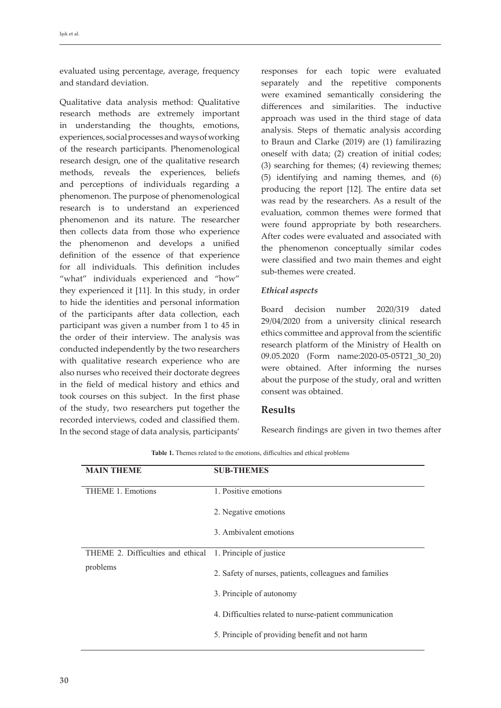evaluated using percentage, average, frequency and standard deviation.

Qualitative data analysis method: Qualitative research methods are extremely important in understanding the thoughts, emotions, experiences, social processes and ways of working of the research participants. Phenomenological research design, one of the qualitative research methods, reveals the experiences, beliefs and perceptions of individuals regarding a phenomenon. The purpose of phenomenological research is to understand an experienced phenomenon and its nature. The researcher then collects data from those who experience the phenomenon and develops a unified definition of the essence of that experience for all individuals. This definition includes "what" individuals experienced and "how" they experienced it [11]. In this study, in order to hide the identities and personal information of the participants after data collection, each participant was given a number from 1 to 45 in the order of their interview. The analysis was conducted independently by the two researchers with qualitative research experience who are also nurses who received their doctorate degrees in the field of medical history and ethics and took courses on this subject. In the first phase of the study, two researchers put together the recorded interviews, coded and classified them. In the second stage of data analysis, participants'

responses for each topic were evaluated separately and the repetitive components were examined semantically considering the differences and similarities. The inductive approach was used in the third stage of data analysis. Steps of thematic analysis according to Braun and Clarke (2019) are (1) familirazing oneself with data; (2) creation of initial codes; (3) searching for themes; (4) reviewing themes; (5) identifying and naming themes, and (6) producing the report [12]. The entire data set was read by the researchers. As a result of the evaluation, common themes were formed that were found appropriate by both researchers. After codes were evaluated and associated with the phenomenon conceptually similar codes were classified and two main themes and eight sub-themes were created.

#### *Ethical aspects*

Board decision number 2020/319 dated 29/04/2020 from a university clinical research ethics committee and approval from the scientific research platform of the Ministry of Health on 09.05.2020 (Form name:2020-05-05T21\_30\_20) were obtained. After informing the nurses about the purpose of the study, oral and written consent was obtained.

# **Results**

Research findings are given in two themes after

| <b>MAIN THEME</b>                                         | <b>SUB-THEMES</b>                                      |
|-----------------------------------------------------------|--------------------------------------------------------|
| THEME 1. Emotions                                         | 1. Positive emotions                                   |
|                                                           | 2. Negative emotions                                   |
|                                                           | 3. Ambivalent emotions                                 |
| THEME 2. Difficulties and ethical 1. Principle of justice |                                                        |
| problems                                                  | 2. Safety of nurses, patients, colleagues and families |
|                                                           | 3. Principle of autonomy                               |
|                                                           | 4. Difficulties related to nurse-patient communication |
|                                                           | 5. Principle of providing benefit and not harm         |
|                                                           |                                                        |

**Table 1.** Themes related to the emotions, difficulties and ethical problems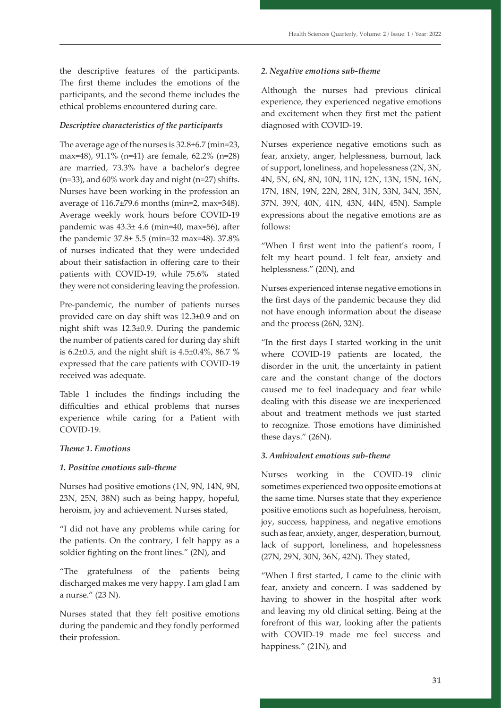the descriptive features of the participants. The first theme includes the emotions of the participants, and the second theme includes the ethical problems encountered during care.

#### *Descriptive characteristics of the participants*

The average age of the nurses is 32.8±6.7 (min=23, max=48), 91.1% (n=41) are female, 62.2% (n=28) are married, 73.3% have a bachelor's degree (n=33), and 60% work day and night (n=27) shifts. Nurses have been working in the profession an average of 116.7±79.6 months (min=2, max=348). Average weekly work hours before COVID-19 pandemic was 43.3± 4.6 (min=40, max=56), after the pandemic 37.8± 5.5 (min=32 max=48). 37.8% of nurses indicated that they were undecided about their satisfaction in offering care to their patients with COVID-19, while 75.6% stated they were not considering leaving the profession.

Pre-pandemic, the number of patients nurses provided care on day shift was 12.3±0.9 and on night shift was 12.3±0.9. During the pandemic the number of patients cared for during day shift is 6.2±0.5, and the night shift is 4.5±0.4%, 86.7 % expressed that the care patients with COVID-19 received was adequate.

Table 1 includes the findings including the difficulties and ethical problems that nurses experience while caring for a Patient with COVID-19.

#### *Theme 1. Emotions*

#### *1. Positive emotions sub-theme*

Nurses had positive emotions (1N, 9N, 14N, 9N, 23N, 25N, 38N) such as being happy, hopeful, heroism, joy and achievement. Nurses stated,

"I did not have any problems while caring for the patients. On the contrary, I felt happy as a soldier fighting on the front lines." (2N), and

"The gratefulness of the patients being discharged makes me very happy. I am glad I am a nurse." (23 N).

Nurses stated that they felt positive emotions during the pandemic and they fondly performed their profession.

#### *2. Negative emotions sub-theme*

Although the nurses had previous clinical experience, they experienced negative emotions and excitement when they first met the patient diagnosed with COVID-19.

Nurses experience negative emotions such as fear, anxiety, anger, helplessness, burnout, lack of support, loneliness, and hopelessness (2N, 3N, 4N, 5N, 6N, 8N, 10N, 11N, 12N, 13N, 15N, 16N, 17N, 18N, 19N, 22N, 28N, 31N, 33N, 34N, 35N, 37N, 39N, 40N, 41N, 43N, 44N, 45N). Sample expressions about the negative emotions are as follows:

"When I first went into the patient's room, I felt my heart pound. I felt fear, anxiety and helplessness." (20N), and

Nurses experienced intense negative emotions in the first days of the pandemic because they did not have enough information about the disease and the process (26N, 32N).

"In the first days I started working in the unit where COVID-19 patients are located, the disorder in the unit, the uncertainty in patient care and the constant change of the doctors caused me to feel inadequacy and fear while dealing with this disease we are inexperienced about and treatment methods we just started to recognize. Those emotions have diminished these days." (26N).

#### *3. Ambivalent emotions sub-theme*

Nurses working in the COVID-19 clinic sometimes experienced two opposite emotions at the same time. Nurses state that they experience positive emotions such as hopefulness, heroism, joy, success, happiness, and negative emotions such as fear, anxiety, anger, desperation, burnout, lack of support, loneliness, and hopelessness (27N, 29N, 30N, 36N, 42N). They stated,

"When I first started, I came to the clinic with fear, anxiety and concern. I was saddened by having to shower in the hospital after work and leaving my old clinical setting. Being at the forefront of this war, looking after the patients with COVID-19 made me feel success and happiness." (21N), and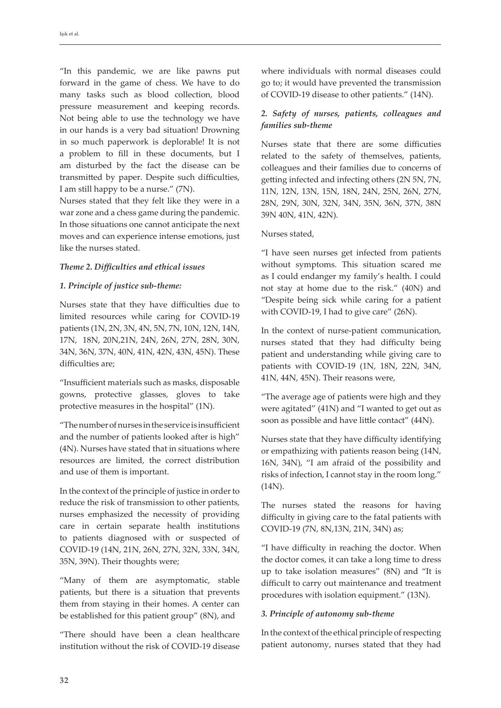"In this pandemic, we are like pawns put forward in the game of chess. We have to do many tasks such as blood collection, blood pressure measurement and keeping records. Not being able to use the technology we have in our hands is a very bad situation! Drowning in so much paperwork is deplorable! It is not a problem to fill in these documents, but I am disturbed by the fact the disease can be transmitted by paper. Despite such difficulties, I am still happy to be a nurse." (7N).

Nurses stated that they felt like they were in a war zone and a chess game during the pandemic. In those situations one cannot anticipate the next moves and can experience intense emotions, just like the nurses stated.

# *Theme 2. Difficulties and ethical issues*

#### *1. Principle of justice sub-theme:*

Nurses state that they have difficulties due to limited resources while caring for COVID-19 patients (1N, 2N, 3N, 4N, 5N, 7N, 10N, 12N, 14N, 17N, 18N, 20N,21N, 24N, 26N, 27N, 28N, 30N, 34N, 36N, 37N, 40N, 41N, 42N, 43N, 45N). These difficulties are;

"Insufficient materials such as masks, disposable gowns, protective glasses, gloves to take protective measures in the hospital" (1N).

"The number of nurses in the service is insufficient and the number of patients looked after is high" (4N). Nurses have stated that in situations where resources are limited, the correct distribution and use of them is important.

In the context of the principle of justice in order to reduce the risk of transmission to other patients, nurses emphasized the necessity of providing care in certain separate health institutions to patients diagnosed with or suspected of COVID-19 (14N, 21N, 26N, 27N, 32N, 33N, 34N, 35N, 39N). Their thoughts were;

"Many of them are asymptomatic, stable patients, but there is a situation that prevents them from staying in their homes. A center can be established for this patient group" (8N), and

"There should have been a clean healthcare institution without the risk of COVID-19 disease where individuals with normal diseases could go to; it would have prevented the transmission of COVID-19 disease to other patients." (14N).

# *2. Safety of nurses, patients, colleagues and families sub-theme*

Nurses state that there are some difficuties related to the safety of themselves, patients, colleagues and their families due to concerns of getting infected and infecting others (2N 5N, 7N, 11N, 12N, 13N, 15N, 18N, 24N, 25N, 26N, 27N, 28N, 29N, 30N, 32N, 34N, 35N, 36N, 37N, 38N 39N 40N, 41N, 42N).

#### Nurses stated,

"I have seen nurses get infected from patients without symptoms. This situation scared me as I could endanger my family's health. I could not stay at home due to the risk." (40N) and "Despite being sick while caring for a patient with COVID-19, I had to give care" (26N).

In the context of nurse-patient communication, nurses stated that they had difficulty being patient and understanding while giving care to patients with COVID-19 (1N, 18N, 22N, 34N, 41N, 44N, 45N). Their reasons were,

"The average age of patients were high and they were agitated" (41N) and "I wanted to get out as soon as possible and have little contact" (44N).

Nurses state that they have difficulty identifying or empathizing with patients reason being (14N, 16N, 34N), "I am afraid of the possibility and risks of infection, I cannot stay in the room long." (14N).

The nurses stated the reasons for having difficulty in giving care to the fatal patients with COVID-19 (7N, 8N,13N, 21N, 34N) as;

"I have difficulty in reaching the doctor. When the doctor comes, it can take a long time to dress up to take isolation measures" (8N) and "It is difficult to carry out maintenance and treatment procedures with isolation equipment." (13N).

# *3. Principle of autonomy sub-theme*

In the context of the ethical principle of respecting patient autonomy, nurses stated that they had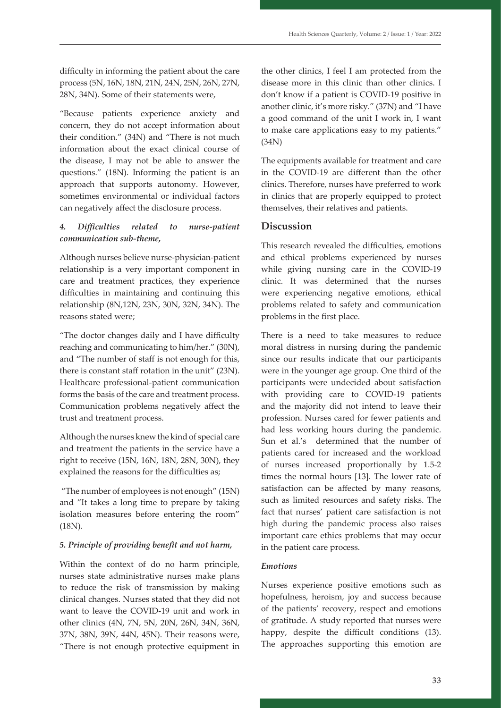difficulty in informing the patient about the care process (5N, 16N, 18N, 21N, 24N, 25N, 26N, 27N, 28N, 34N). Some of their statements were,

"Because patients experience anxiety and concern, they do not accept information about their condition." (34N) and "There is not much information about the exact clinical course of the disease, I may not be able to answer the questions." (18N). Informing the patient is an approach that supports autonomy. However, sometimes environmental or individual factors can negatively affect the disclosure process.

# *4. Difficulties related to nurse-patient communication sub-theme,*

Although nurses believe nurse-physician-patient relationship is a very important component in care and treatment practices, they experience difficulties in maintaining and continuing this relationship (8N,12N, 23N, 30N, 32N, 34N). The reasons stated were;

"The doctor changes daily and I have difficulty reaching and communicating to him/her." (30N), and "The number of staff is not enough for this, there is constant staff rotation in the unit" (23N). Healthcare professional-patient communication forms the basis of the care and treatment process. Communication problems negatively affect the trust and treatment process.

Although the nurses knew the kind of special care and treatment the patients in the service have a right to receive (15N, 16N, 18N, 28N, 30N), they explained the reasons for the difficulties as;

 "The number of employees is not enough" (15N) and "It takes a long time to prepare by taking isolation measures before entering the room" (18N).

# *5. Principle of providing benefit and not harm,*

Within the context of do no harm principle, nurses state administrative nurses make plans to reduce the risk of transmission by making clinical changes. Nurses stated that they did not want to leave the COVID-19 unit and work in other clinics (4N, 7N, 5N, 20N, 26N, 34N, 36N, 37N, 38N, 39N, 44N, 45N). Their reasons were, "There is not enough protective equipment in

the other clinics, I feel I am protected from the disease more in this clinic than other clinics. I don't know if a patient is COVID-19 positive in another clinic, it's more risky." (37N) and "I have a good command of the unit I work in, I want to make care applications easy to my patients." (34N)

The equipments available for treatment and care in the COVID-19 are different than the other clinics. Therefore, nurses have preferred to work in clinics that are properly equipped to protect themselves, their relatives and patients.

# **Discussion**

This research revealed the difficulties, emotions and ethical problems experienced by nurses while giving nursing care in the COVID-19 clinic. It was determined that the nurses were experiencing negative emotions, ethical problems related to safety and communication problems in the first place.

There is a need to take measures to reduce moral distress in nursing during the pandemic since our results indicate that our participants were in the younger age group. One third of the participants were undecided about satisfaction with providing care to COVID-19 patients and the majority did not intend to leave their profession. Nurses cared for fewer patients and had less working hours during the pandemic. Sun et al.'s determined that the number of patients cared for increased and the workload of nurses increased proportionally by 1.5-2 times the normal hours [13]. The lower rate of satisfaction can be affected by many reasons, such as limited resources and safety risks. The fact that nurses' patient care satisfaction is not high during the pandemic process also raises important care ethics problems that may occur in the patient care process.

# *Emotions*

Nurses experience positive emotions such as hopefulness, heroism, joy and success because of the patients' recovery, respect and emotions of gratitude. A study reported that nurses were happy, despite the difficult conditions (13). The approaches supporting this emotion are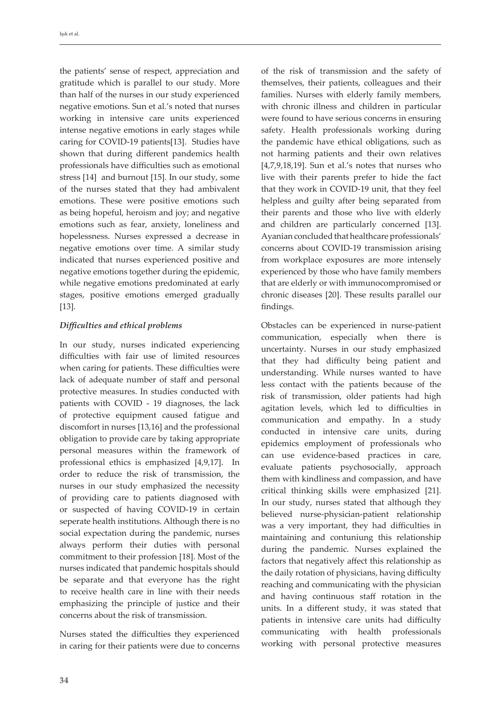the patients' sense of respect, appreciation and gratitude which is parallel to our study. More than half of the nurses in our study experienced negative emotions. Sun et al.'s noted that nurses working in intensive care units experienced intense negative emotions in early stages while caring for COVID-19 patients[13]. Studies have shown that during different pandemics health professionals have difficulties such as emotional stress [14] and burnout [15]. In our study, some of the nurses stated that they had ambivalent emotions. These were positive emotions such as being hopeful, heroism and joy; and negative emotions such as fear, anxiety, loneliness and hopelessness. Nurses expressed a decrease in negative emotions over time. A similar study indicated that nurses experienced positive and negative emotions together during the epidemic, while negative emotions predominated at early stages, positive emotions emerged gradually [13].

#### *Difficulties and ethical problems*

In our study, nurses indicated experiencing difficulties with fair use of limited resources when caring for patients. These difficulties were lack of adequate number of staff and personal protective measures. In studies conducted with patients with COVID - 19 diagnoses, the lack of protective equipment caused fatigue and discomfort in nurses [13,16] and the professional obligation to provide care by taking appropriate personal measures within the framework of professional ethics is emphasized [4,9,17]. In order to reduce the risk of transmission, the nurses in our study emphasized the necessity of providing care to patients diagnosed with or suspected of having COVID-19 in certain seperate health institutions. Although there is no social expectation during the pandemic, nurses always perform their duties with personal commitment to their profession [18]. Most of the nurses indicated that pandemic hospitals should be separate and that everyone has the right to receive health care in line with their needs emphasizing the principle of justice and their concerns about the risk of transmission.

Nurses stated the difficulties they experienced in caring for their patients were due to concerns of the risk of transmission and the safety of themselves, their patients, colleagues and their families. Nurses with elderly family members, with chronic illness and children in particular were found to have serious concerns in ensuring safety. Health professionals working during the pandemic have ethical obligations, such as not harming patients and their own relatives  $[4,7,9,18,19]$ . Sun et al.'s notes that nurses who live with their parents prefer to hide the fact that they work in COVID-19 unit, that they feel helpless and guilty after being separated from their parents and those who live with elderly and children are particularly concerned [13]. Ayanian concluded that healthcare professionals' concerns about COVID-19 transmission arising from workplace exposures are more intensely experienced by those who have family members that are elderly or with immunocompromised or chronic diseases [20]. These results parallel our findings.

Obstacles can be experienced in nurse-patient communication, especially when there is uncertainty. Nurses in our study emphasized that they had difficulty being patient and understanding. While nurses wanted to have less contact with the patients because of the risk of transmission, older patients had high agitation levels, which led to difficulties in communication and empathy. In a study conducted in intensive care units, during epidemics employment of professionals who can use evidence-based practices in care, evaluate patients psychosocially, approach them with kindliness and compassion, and have critical thinking skills were emphasized [21]. In our study, nurses stated that although they believed nurse-physician-patient relationship was a very important, they had difficulties in maintaining and contuniung this relationship during the pandemic. Nurses explained the factors that negatively affect this relationship as the daily rotation of physicians, having difficulty reaching and communicating with the physician and having continuous staff rotation in the units. In a different study, it was stated that patients in intensive care units had difficulty communicating with health professionals working with personal protective measures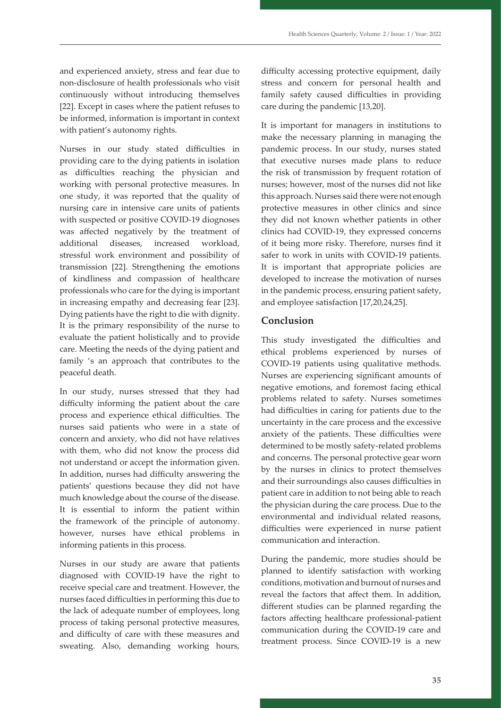and experienced anxiety, stress and fear due to non-disclosure of health professionals who visit continuously without introducing themselves [22]. Except in cases where the patient refuses to be informed, information is important in context with patient's autonomy rights.

Nurses in our study stated difficulties in providing care to the dying patients in isolation as difficulties reaching the physician and working with personal protective measures. In one study, it was reported that the quality of nursing care in intensive care units of patients with suspected or positive COVID-19 diognoses was affected negatively by the treatment of additional diseases, increased workload, stressful work environment and possibility of transmission [22]. Strengthening the emotions of kindliness and compassion of healthcare professionals who care for the dying is important in increasing empathy and decreasing fear [23]. Dying patients have the right to die with dignity. It is the primary responsibility of the nurse to evaluate the patient holistically and to provide care. Meeting the needs of the dying patient and family 's an approach that contributes to the peaceful death.

In our study, nurses stressed that they had difficulty informing the patient about the care process and experience ethical difficulties. The nurses said patients who were in a state of concern and anxiety, who did not have relatives with them, who did not know the process did not understand or accept the information given. In addition, nurses had difficulty answering the patients' questions because they did not have much knowledge about the course of the disease. It is essential to inform the patient within the framework of the principle of autonomy. however, nurses have ethical problems in informing patients in this process.

Nurses in our study are aware that patients diagnosed with COVID-19 have the right to receive special care and treatment. However, the nurses faced difficulties in performing this due to the lack of adequate number of employees, long process of taking personal protective measures, and difficulty of care with these measures and sweating. Also, demanding working hours,

difficulty accessing protective equipment, daily stress and concern for personal health and family safety caused difficulties in providing care during the pandemic [13,20].

It is important for managers in institutions to make the necessary planning in managing the pandemic process. In our study, nurses stated that executive nurses made plans to reduce the risk of transmission by frequent rotation of nurses; however, most of the nurses did not like this approach. Nurses said there were not enough protective measures in other clinics and since they did not known whether patients in other clinics had COVID-19, they expressed concerns of it being more risky. Therefore, nurses find it safer to work in units with COVID-19 patients. It is important that appropriate policies are developed to increase the motivation of nurses in the pandemic process, ensuring patient safety, and employee satisfaction [17,20,24,25].

# **Conclusion**

This study investigated the difficulties and ethical problems experienced by nurses of COVID-19 patients using qualitative methods. Nurses are experiencing significant amounts of negative emotions, and foremost facing ethical problems related to safety. Nurses sometimes had difficulties in caring for patients due to the uncertainty in the care process and the excessive anxiety of the patients. These difficulties were determined to be mostly safety-related problems and concerns. The personal protective gear worn by the nurses in clinics to protect themselves and their surroundings also causes difficulties in patient care in addition to not being able to reach the physician during the care process. Due to the environmental and individual related reasons, difficulties were experienced in nurse patient communication and interaction.

During the pandemic, more studies should be planned to identify satisfaction with working conditions, motivation and burnout of nurses and reveal the factors that affect them. In addition, different studies can be planned regarding the factors affecting healthcare professional-patient communication during the COVID-19 care and treatment process. Since COVID-19 is a new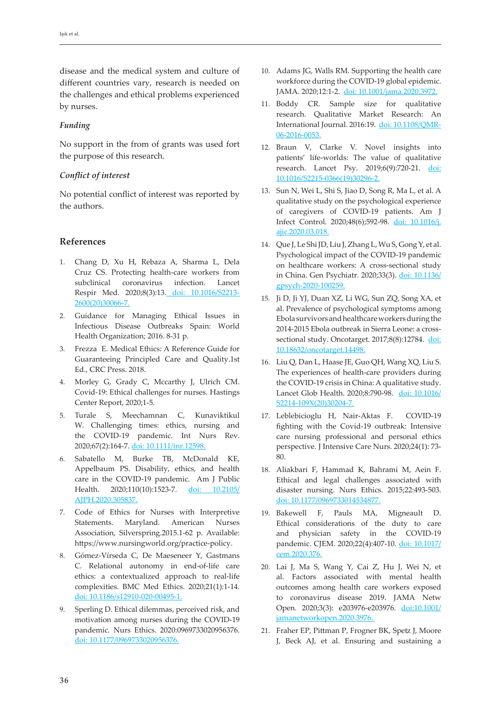disease and the medical system and culture of different countries vary, research is needed on the challenges and ethical problems experienced by nurses.

#### *Funding*

No support in the from of grants was used fort the purpose of this research.

#### *Conflict of interest*

No potential conflict of interest was reported by the authors.

#### **References**

- 1. Chang D, Xu H, Rebaza A, Sharma L, Dela Cruz CS. Protecting health-care workers from subclinical coronavirus infection. Lancet Respir Med. 2020;8(3):13. doi: 10.1016/S2213- 2600(20)30066-7.
- 2. Guidance for Managing Ethical Issues in Infectious Disease Outbreaks Spain: World Health Organization; 2016. 8-31 p.
- 3. Frezza E. Medical Ethics: A Reference Guide for Guaranteeing Principled Care and Quality.1st Ed., CRC Press. 2018.
- 4. Morley G, Grady C, Mccarthy J, Ulrich CM. Covid-19: Ethical challenges for nurses. Hastings Center Report, 2020;1-5.
- 5. Turale S, Meechamnan C, Kunaviktikul W. Challenging times: ethics, nursing and the COVID-19 pandemic. Int Nurs Rev. 2020;67(2):164-7. doi: 10.1111/inr.12598.
- 6. Sabatello M, Burke TB, McDonald KE, Appelbaum PS. Disability, ethics, and health care in the COVID-19 pandemic. Am J Public Health. 2020;110(10):1523-7. doi: 10.2105/ AJPH.2020.305837.
- 7. Code of Ethics for Nurses with Interpretive Statements. Maryland. American Nurses Association, Silverspring.2015.1-62 p. Available: https://www.nursingworld.org/practice-policy.
- 8. Gómez-Vírseda C, De Maeseneer Y, Gastmans C. Relational autonomy in end-of-life care ethics: a contextualized approach to real-life complexities. BMC Med Ethics. 2020;21(1):1-14. doi: 10.1186/s12910-020-00495-1.
- 9. Sperling D. Ethical dilemmas, perceived risk, and motivation among nurses during the COVID-19 pandemic. Nurs Ethics. 2020:0969733020956376. doi: 10.1177/0969733020956376.
- 10. Adams JG, Walls RM. Supporting the health care workforce during the COVID-19 global epidemic. JAMA. 2020;12:1-2. doi: 10.1001/jama.2020.3972.
- 11. Boddy CR. Sample size for qualitative research. Qualitative Market Research: An International Journal. 2016:19. doi: 10.1108/QMR-06-2016-0053.
- 12. Braun V, Clarke V. Novel insights into patients' life-worlds: The value of qualitative research. Lancet Psy. 2019;6(9):720-21. doi: 10.1016/S2215-0366(19)30296-2.
- 13. Sun N, Wei L, Shi S, Jiao D, Song R, Ma L, et al. A qualitative study on the psychological experience of caregivers of COVID-19 patients. Am J Infect Control. 2020;48(6);592-98. doi: 10.1016/j. ajic.2020.03.018.
- 14. Que J, Le Shi JD, Liu J, Zhang L, Wu S, Gong Y, et al. Psychological impact of the COVID-19 pandemic on healthcare workers: A cross-sectional study in China. Gen Psychiatr. 2020;33(3). doi: 10.1136/ gpsych-2020-100259.
- 15. Ji D, Ji YJ, Duan XZ, Li WG, Sun ZQ, Song XA, et al. Prevalence of psychological symptoms among Ebola survivors and healthcare workers during the 2014-2015 Ebola outbreak in Sierra Leone: a crosssectional study. Oncotarget. 2017;8(8):12784. doi: 10.18632/oncotarget.14498.
- 16. Liu Q, Dan L, Haase JE, Guo QH, Wang XQ, Liu S. The experiences of health-care providers during the COVID-19 crisis in China: A qualitative study. Lancet Glob Health. 2020;8:790-98. doi: [10.1016/](https://doi.org/10.1016/s2214-109x(20)30204-7) [S2214-109X\(20\)30204-7.](https://doi.org/10.1016/s2214-109x(20)30204-7)
- 17. Leblebicioglu H, Nair-Aktas F. COVID-19 fighting with the Covid-19 outbreak: Intensive care nursing professional and personal ethics perspective. J Intensive Care Nurs. 2020;24(1): 73- 80.
- 18. Aliakbari F, Hammad K, Bahrami M, Aein F. Ethical and legal challenges associated with disaster nursing. Nurs Ethics. 2015;22:493-503. doi: 10.1177/0969733014534877.
- 19. Bakewell F, Pauls MA, Migneault D. Ethical considerations of the duty to care and physician safety in the COVID-19 pandemic. CJEM. 2020;22(4):407-10. doi: 10.1017/ cem.2020.376.
- 20. Lai J, Ma S, Wang Y, Cai Z, Hu J, Wei N, et al. Factors associated with mental health outcomes among health care workers exposed to coronavirus disease 2019. JAMA Netw Open. 2020;3(3): e203976-e203976. doi:10.1001/ jamanetworkopen.2020.3976.
- 21. Fraher EP, Pittman P, Frogner BK, Spetz J, Moore J, Beck AJ, et al. Ensuring and sustaining a